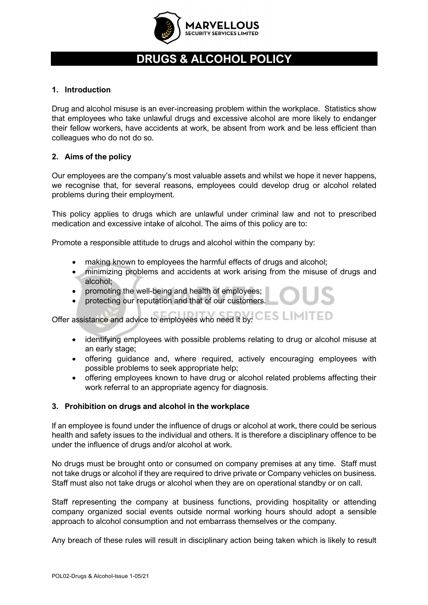

# **DRUGS & ALCOHOL POLICY**

## **1. Introduction**

Drug and alcohol misuse is an ever-increasing problem within the workplace. Statistics show that employees who take unlawful drugs and excessive alcohol are more likely to endanger their fellow workers, have accidents at work, be absent from work and be less efficient than colleagues who do not do so.

## **2. Aims of the policy**

Our employees are the company's most valuable assets and whilst we hope it never happens, we recognise that, for several reasons, employees could develop drug or alcohol related problems during their employment.

This policy applies to drugs which are unlawful under criminal law and not to prescribed medication and excessive intake of alcohol. The aims of this policy are to:

Promote a responsible attitude to drugs and alcohol within the company by:

- making known to employees the harmful effects of drugs and alcohol;
- minimizing problems and accidents at work arising from the misuse of drugs and alcohol;
- promoting the well-being and health of employees;
- protecting our reputation and that of our customers.

Offer assistance and advice to employees who need it by: CES LIMITED

- identifying employees with possible problems relating to drug or alcohol misuse at an early stage;
- offering guidance and, where required, actively encouraging employees with possible problems to seek appropriate help;
- offering employees known to have drug or alcohol related problems affecting their work referral to an appropriate agency for diagnosis.

#### **3. Prohibition on drugs and alcohol in the workplace**

If an employee is found under the influence of drugs or alcohol at work, there could be serious health and safety issues to the individual and others. It is therefore a disciplinary offence to be under the influence of drugs and/or alcohol at work.

No drugs must be brought onto or consumed on company premises at any time. Staff must not take drugs or alcohol if they are required to drive private or Company vehicles on business. Staff must also not take drugs or alcohol when they are on operational standby or on call.

Staff representing the company at business functions, providing hospitality or attending company organized social events outside normal working hours should adopt a sensible approach to alcohol consumption and not embarrass themselves or the company.

Any breach of these rules will result in disciplinary action being taken which is likely to result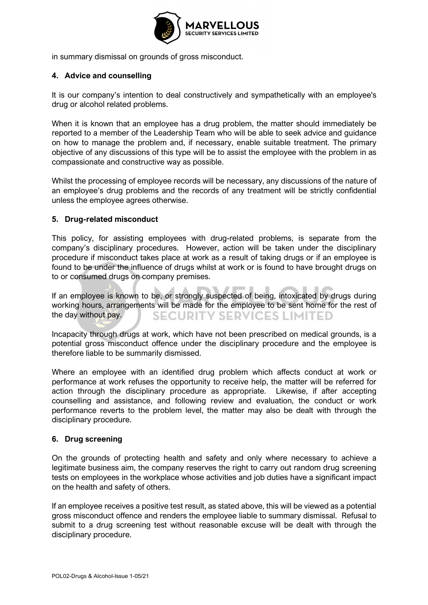

in summary dismissal on grounds of gross misconduct.

## **4. Advice and counselling**

It is our company's intention to deal constructively and sympathetically with an employee's drug or alcohol related problems.

When it is known that an employee has a drug problem, the matter should immediately be reported to a member of the Leadership Team who will be able to seek advice and guidance on how to manage the problem and, if necessary, enable suitable treatment. The primary objective of any discussions of this type will be to assist the employee with the problem in as compassionate and constructive way as possible.

Whilst the processing of employee records will be necessary, any discussions of the nature of an employee's drug problems and the records of any treatment will be strictly confidential unless the employee agrees otherwise.

## **5. Drug-related misconduct**

This policy, for assisting employees with drug-related problems, is separate from the company's disciplinary procedures. However, action will be taken under the disciplinary procedure if misconduct takes place at work as a result of taking drugs or if an employee is found to be under the influence of drugs whilst at work or is found to have brought drugs on to or consumed drugs on company premises.

If an employee is known to be, or strongly suspected of being, intoxicated by drugs during working hours, arrangements will be made for the employee to be sent home for the rest of the day without pay. **SECURITY SERVICES LIMITED** 

Incapacity through drugs at work, which have not been prescribed on medical grounds, is a potential gross misconduct offence under the disciplinary procedure and the employee is therefore liable to be summarily dismissed.

Where an employee with an identified drug problem which affects conduct at work or performance at work refuses the opportunity to receive help, the matter will be referred for action through the disciplinary procedure as appropriate. Likewise, if after accepting counselling and assistance, and following review and evaluation, the conduct or work performance reverts to the problem level, the matter may also be dealt with through the disciplinary procedure.

#### **6. Drug screening**

On the grounds of protecting health and safety and only where necessary to achieve a legitimate business aim, the company reserves the right to carry out random drug screening tests on employees in the workplace whose activities and job duties have a significant impact on the health and safety of others.

If an employee receives a positive test result, as stated above, this will be viewed as a potential gross misconduct offence and renders the employee liable to summary dismissal. Refusal to submit to a drug screening test without reasonable excuse will be dealt with through the disciplinary procedure.